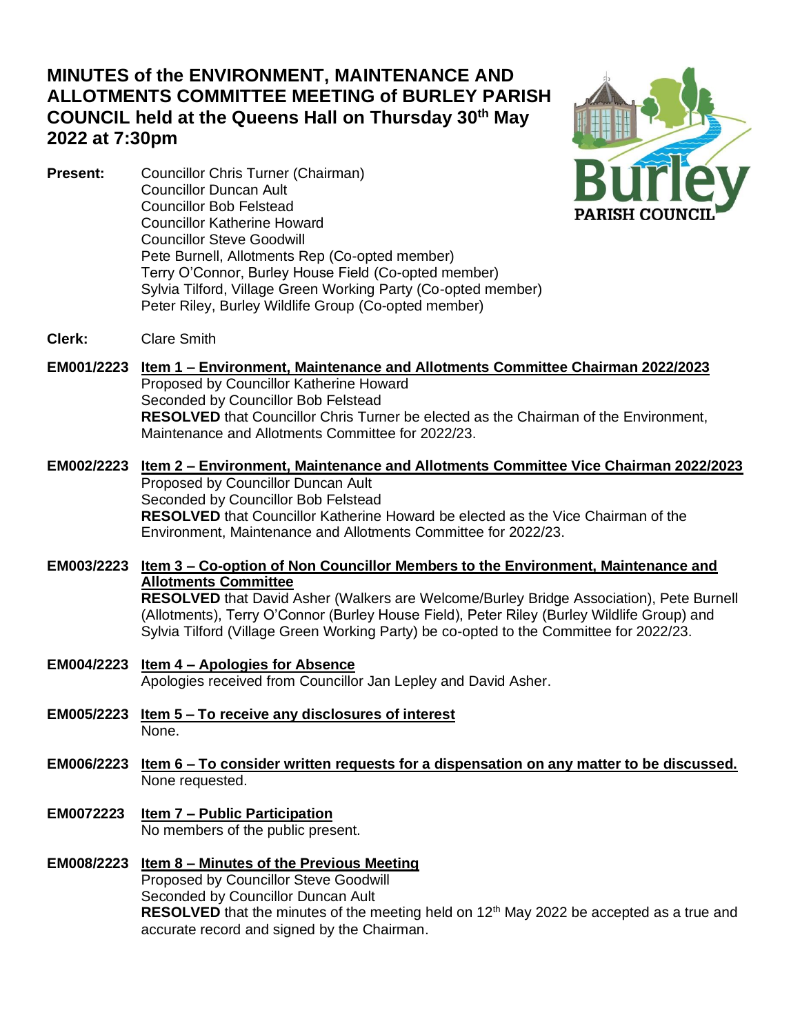# **MINUTES of the ENVIRONMENT, MAINTENANCE AND ALLOTMENTS COMMITTEE MEETING of BURLEY PARISH COUNCIL held at the Queens Hall on Thursday 30th May 2022 at 7:30pm**

**Present:** Councillor Chris Turner (Chairman) Councillor Duncan Ault Councillor Bob Felstead Councillor Katherine Howard Councillor Steve Goodwill Pete Burnell, Allotments Rep (Co-opted member) Terry O'Connor, Burley House Field (Co-opted member) Sylvia Tilford, Village Green Working Party (Co-opted member) Peter Riley, Burley Wildlife Group (Co-opted member)



**Clerk:** Clare Smith

**EM001/2223 Item 1 – Environment, Maintenance and Allotments Committee Chairman 2022/2023** Proposed by Councillor Katherine Howard Seconded by Councillor Bob Felstead **RESOLVED** that Councillor Chris Turner be elected as the Chairman of the Environment, Maintenance and Allotments Committee for 2022/23.

### **EM002/2223 Item 2 – Environment, Maintenance and Allotments Committee Vice Chairman 2022/2023** Proposed by Councillor Duncan Ault Seconded by Councillor Bob Felstead **RESOLVED** that Councillor Katherine Howard be elected as the Vice Chairman of the Environment, Maintenance and Allotments Committee for 2022/23.

**EM003/2223 Item 3 – Co-option of Non Councillor Members to the Environment, Maintenance and Allotments Committee RESOLVED** that David Asher (Walkers are Welcome/Burley Bridge Association), Pete Burnell (Allotments), Terry O'Connor (Burley House Field), Peter Riley (Burley Wildlife Group) and Sylvia Tilford (Village Green Working Party) be co-opted to the Committee for 2022/23.

- **EM004/2223 Item 4 – Apologies for Absence** Apologies received from Councillor Jan Lepley and David Asher.
- **EM005/2223 Item 5 – To receive any disclosures of interest** None.
- **EM006/2223 Item 6 – To consider written requests for a dispensation on any matter to be discussed.** None requested.
- **EM0072223 Item 7 – Public Participation** No members of the public present.

#### **EM008/2223 Item 8 – Minutes of the Previous Meeting** Proposed by Councillor Steve Goodwill Seconded by Councillor Duncan Ault **RESOLVED** that the minutes of the meeting held on 12<sup>th</sup> May 2022 be accepted as a true and accurate record and signed by the Chairman.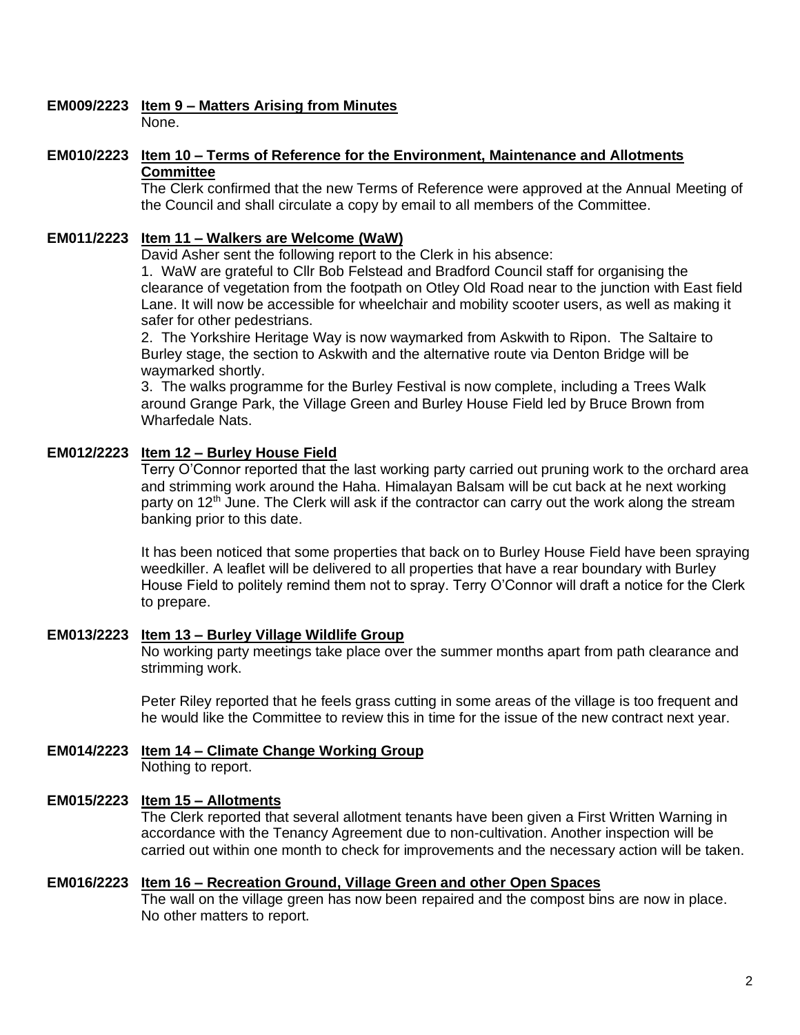# **EM009/2223 Item 9 – Matters Arising from Minutes**

None.

### **EM010/2223 Item 10 – Terms of Reference for the Environment, Maintenance and Allotments Committee**

The Clerk confirmed that the new Terms of Reference were approved at the Annual Meeting of the Council and shall circulate a copy by email to all members of the Committee.

# **EM011/2223 Item 11 – Walkers are Welcome (WaW)**

David Asher sent the following report to the Clerk in his absence:

1. WaW are grateful to Cllr Bob Felstead and Bradford Council staff for organising the clearance of vegetation from the footpath on Otley Old Road near to the junction with East field Lane. It will now be accessible for wheelchair and mobility scooter users, as well as making it safer for other pedestrians.

2. The Yorkshire Heritage Way is now waymarked from Askwith to Ripon. The Saltaire to Burley stage, the section to Askwith and the alternative route via Denton Bridge will be waymarked shortly.

3. The walks programme for the Burley Festival is now complete, including a Trees Walk around Grange Park, the Village Green and Burley House Field led by Bruce Brown from Wharfedale Nats.

# **EM012/2223 Item 12 – Burley House Field**

Terry O'Connor reported that the last working party carried out pruning work to the orchard area and strimming work around the Haha. Himalayan Balsam will be cut back at he next working party on  $12<sup>th</sup>$  June. The Clerk will ask if the contractor can carry out the work along the stream banking prior to this date.

It has been noticed that some properties that back on to Burley House Field have been spraying weedkiller. A leaflet will be delivered to all properties that have a rear boundary with Burley House Field to politely remind them not to spray. Terry O'Connor will draft a notice for the Clerk to prepare.

# **EM013/2223 Item 13 – Burley Village Wildlife Group**

No working party meetings take place over the summer months apart from path clearance and strimming work.

Peter Riley reported that he feels grass cutting in some areas of the village is too frequent and he would like the Committee to review this in time for the issue of the new contract next year.

#### **EM014/2223 Item 14 – Climate Change Working Group** Nothing to report.

# **EM015/2223 Item 15 – Allotments**

The Clerk reported that several allotment tenants have been given a First Written Warning in accordance with the Tenancy Agreement due to non-cultivation. Another inspection will be carried out within one month to check for improvements and the necessary action will be taken.

### **EM016/2223 Item 16 – Recreation Ground, Village Green and other Open Spaces**

The wall on the village green has now been repaired and the compost bins are now in place. No other matters to report.